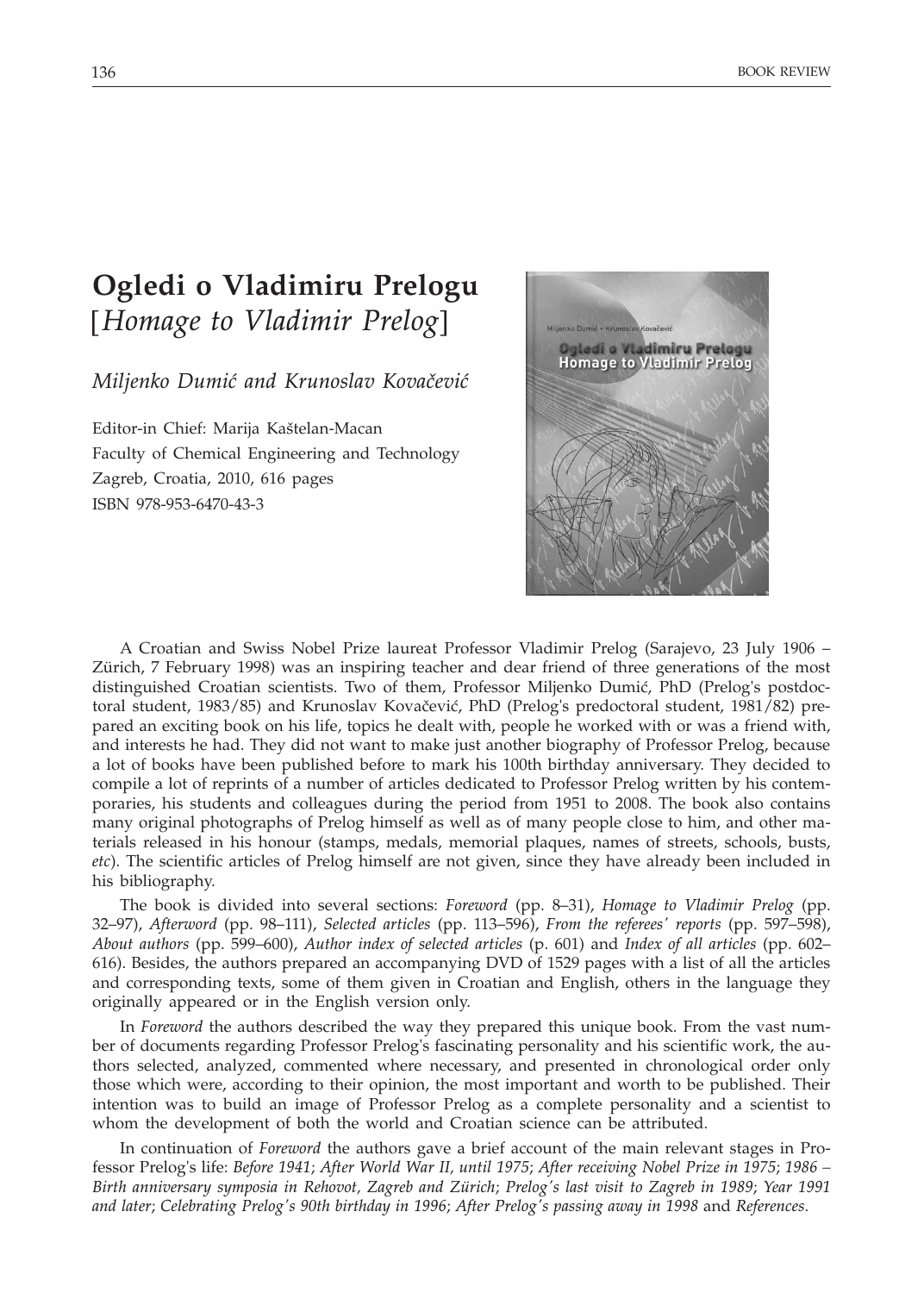## **Ogledi o Vladimiru Prelogu** [*Homage to Vladimir Prelog*]

*Miljenko Dumić and Krunoslav Kovačević* 

Editor-in Chief: Marija Kaštelan-Macan Faculty of Chemical Engineering and Technology Zagreb, Croatia, 2010, 616 pages ISBN 978-953-6470-43-3



A Croatian and Swiss Nobel Prize laureat Professor Vladimir Prelog (Sarajevo, 23 July 1906 – Zürich, 7 February 1998) was an inspiring teacher and dear friend of three generations of the most distinguished Croatian scientists. Two of them, Professor Miljenko Dumić, PhD (Prelog's postdoctoral student, 1983/85) and Krunoslav Kovačević, PhD (Prelog's predoctoral student, 1981/82) prepared an exciting book on his life, topics he dealt with, people he worked with or was a friend with, and interests he had. They did not want to make just another biography of Professor Prelog, because a lot of books have been published before to mark his 100th birthday anniversary. They decided to compile a lot of reprints of a number of articles dedicated to Professor Prelog written by his contemporaries, his students and colleagues during the period from 1951 to 2008. The book also contains many original photographs of Prelog himself as well as of many people close to him, and other materials released in his honour (stamps, medals, memorial plaques, names of streets, schools, busts, *etc*). The scientific articles of Prelog himself are not given, since they have already been included in his bibliography.

The book is divided into several sections: *Foreword* (pp. 8–31), *Homage to Vladimir Prelog* (pp. 32–97), *Afterword* (pp. 98–111), *Selected articles* (pp. 113–596), *From the referees' reports* (pp. 597–598), *About authors* (pp. 599–600), *Author index of selected articles* (p. 601) and *Index of all articles* (pp. 602– 616). Besides, the authors prepared an accompanying DVD of 1529 pages with a list of all the articles and corresponding texts, some of them given in Croatian and English, others in the language they originally appeared or in the English version only.

In *Foreword* the authors described the way they prepared this unique book. From the vast number of documents regarding Professor Prelog's fascinating personality and his scientific work, the authors selected, analyzed, commented where necessary, and presented in chronological order only those which were, according to their opinion, the most important and worth to be published. Their intention was to build an image of Professor Prelog as a complete personality and a scientist to whom the development of both the world and Croatian science can be attributed.

In continuation of *Foreword* the authors gave a brief account of the main relevant stages in Professor Prelog's life: *Before 1941*; *After World War II, until 1975*; *After receiving Nobel Prize in 1975*; *1986 – Birth anniversary symposia in Rehovot, Zagreb and Zürich*; *Prelog's last visit to Zagreb in 1989*; *Year 1991 and later*; *Celebrating Prelog's 90th birthday in 1996*; *After Prelog's passing away in 1998* and *References*.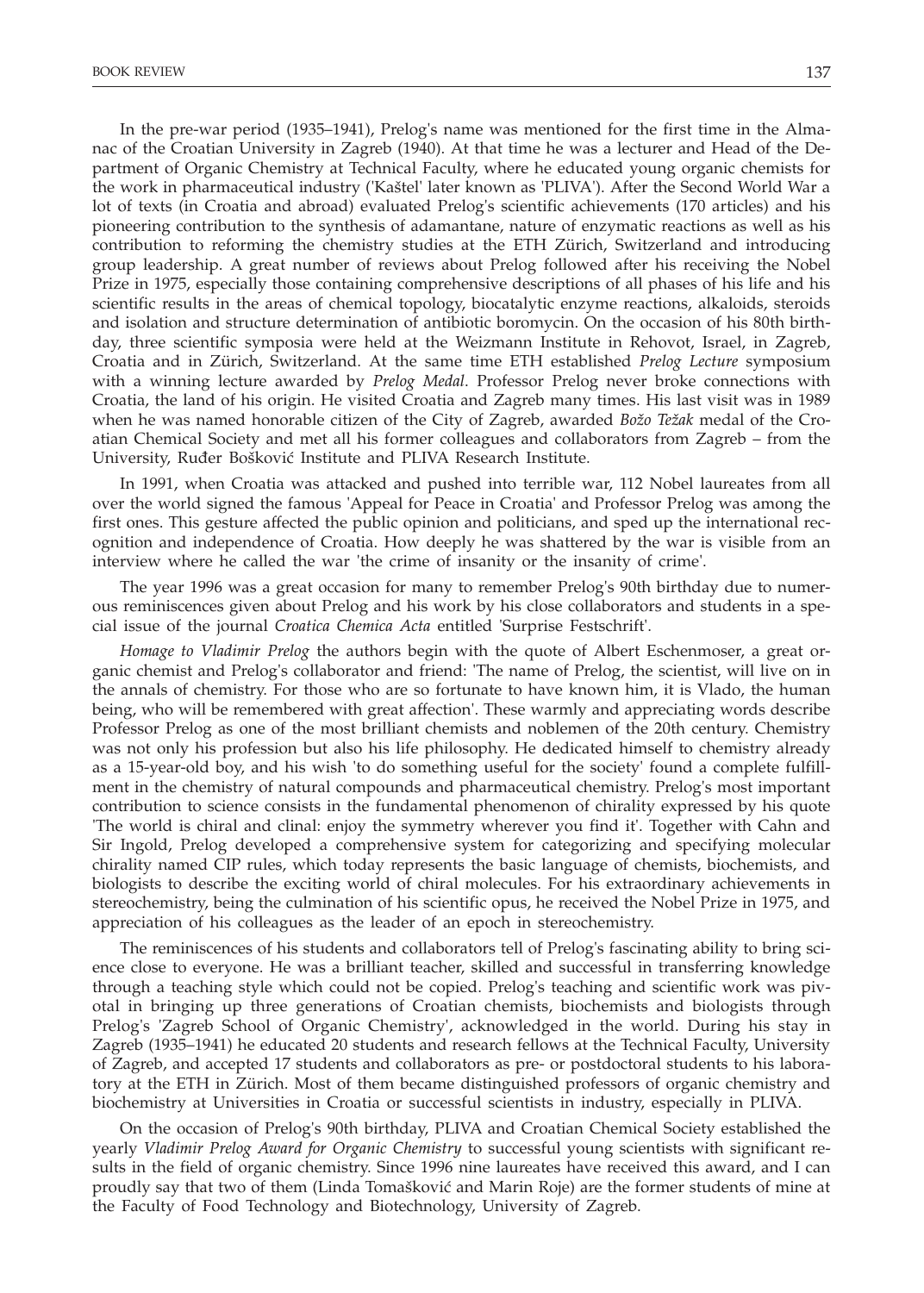In the pre-war period (1935–1941), Prelog's name was mentioned for the first time in the Almanac of the Croatian University in Zagreb (1940). At that time he was a lecturer and Head of the Department of Organic Chemistry at Technical Faculty, where he educated young organic chemists for the work in pharmaceutical industry ('Kaštel' later known as 'PLIVA'). After the Second World War a lot of texts (in Croatia and abroad) evaluated Prelog's scientific achievements (170 articles) and his pioneering contribution to the synthesis of adamantane, nature of enzymatic reactions as well as his contribution to reforming the chemistry studies at the ETH Zürich, Switzerland and introducing group leadership. A great number of reviews about Prelog followed after his receiving the Nobel Prize in 1975, especially those containing comprehensive descriptions of all phases of his life and his scientific results in the areas of chemical topology, biocatalytic enzyme reactions, alkaloids, steroids and isolation and structure determination of antibiotic boromycin. On the occasion of his 80th birthday, three scientific symposia were held at the Weizmann Institute in Rehovot, Israel, in Zagreb, Croatia and in Zürich, Switzerland. At the same time ETH established *Prelog Lecture* symposium with a winning lecture awarded by *Prelog Medal*. Professor Prelog never broke connections with Croatia, the land of his origin. He visited Croatia and Zagreb many times. His last visit was in 1989 when he was named honorable citizen of the City of Zagreb, awarded *Božo Težak* medal of the Croatian Chemical Society and met all his former colleagues and collaborators from Zagreb – from the University, Ruđer Bošković Institute and PLIVA Research Institute.

In 1991, when Croatia was attacked and pushed into terrible war, 112 Nobel laureates from all over the world signed the famous 'Appeal for Peace in Croatia' and Professor Prelog was among the first ones. This gesture affected the public opinion and politicians, and sped up the international recognition and independence of Croatia. How deeply he was shattered by the war is visible from an interview where he called the war 'the crime of insanity or the insanity of crime'.

The year 1996 was a great occasion for many to remember Prelog's 90th birthday due to numerous reminiscences given about Prelog and his work by his close collaborators and students in a special issue of the journal *Croatica Chemica Acta* entitled 'Surprise Festschrift'.

*Homage to Vladimir Prelog* the authors begin with the quote of Albert Eschenmoser, a great organic chemist and Prelog's collaborator and friend: 'The name of Prelog, the scientist, will live on in the annals of chemistry. For those who are so fortunate to have known him, it is Vlado, the human being, who will be remembered with great affection'. These warmly and appreciating words describe Professor Prelog as one of the most brilliant chemists and noblemen of the 20th century. Chemistry was not only his profession but also his life philosophy. He dedicated himself to chemistry already as a 15-year-old boy, and his wish 'to do something useful for the society' found a complete fulfillment in the chemistry of natural compounds and pharmaceutical chemistry. Prelog's most important contribution to science consists in the fundamental phenomenon of chirality expressed by his quote 'The world is chiral and clinal: enjoy the symmetry wherever you find it'. Together with Cahn and Sir Ingold, Prelog developed a comprehensive system for categorizing and specifying molecular chirality named CIP rules, which today represents the basic language of chemists, biochemists, and biologists to describe the exciting world of chiral molecules. For his extraordinary achievements in stereochemistry, being the culmination of his scientific opus, he received the Nobel Prize in 1975, and appreciation of his colleagues as the leader of an epoch in stereochemistry.

The reminiscences of his students and collaborators tell of Prelog's fascinating ability to bring science close to everyone. He was a brilliant teacher, skilled and successful in transferring knowledge through a teaching style which could not be copied. Prelog's teaching and scientific work was pivotal in bringing up three generations of Croatian chemists, biochemists and biologists through Prelog's 'Zagreb School of Organic Chemistry', acknowledged in the world. During his stay in Zagreb (1935–1941) he educated 20 students and research fellows at the Technical Faculty, University of Zagreb, and accepted 17 students and collaborators as pre- or postdoctoral students to his laboratory at the ETH in Zürich. Most of them became distinguished professors of organic chemistry and biochemistry at Universities in Croatia or successful scientists in industry, especially in PLIVA.

On the occasion of Prelog's 90th birthday, PLIVA and Croatian Chemical Society established the yearly *Vladimir Prelog Award for Organic Chemistry* to successful young scientists with significant results in the field of organic chemistry. Since 1996 nine laureates have received this award, and I can proudly say that two of them (Linda Tomašković and Marin Roje) are the former students of mine at the Faculty of Food Technology and Biotechnology, University of Zagreb.